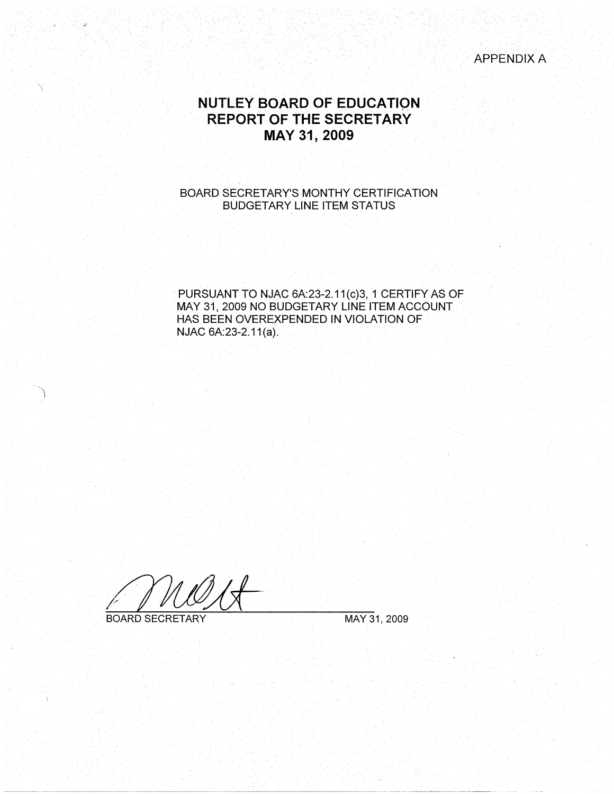APPENDIX A

# **NUTLEY BOARD OF EDUCATIQN REPORT OF THE SECRETARY MAY 31, 2009**

### BOARD SECRETARY'S MONTHY CERTIFICATION BUDGETARY LINE ITEM STATUS

PURSUANT TO NJAC 6A:23-2.11(c)3, 1 CERTIFY AS OF MAY 31, 2009 NO BUDGETARY LINE ITEM ACCOUNT HAS BEEN OVEREXPENDED IN VIOLATION OF NJAC 6A:23-2.11(a).

BOARD SECRETARY MAY 31, 2009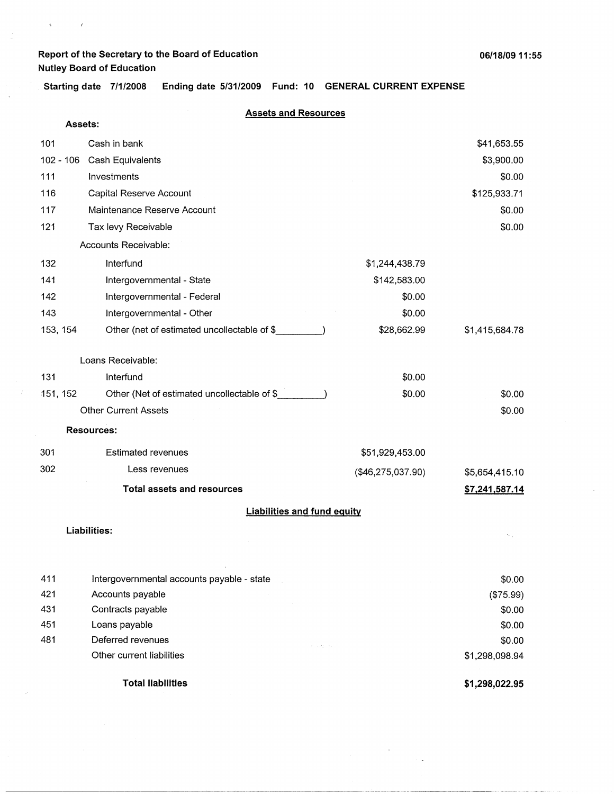**Starting date 7/1/2008 Ending date 5/31/2009 Fund: 10 GENERAL CURRENT EXPENSE** 

 $\tilde{q}$ 

 $\vec{r}$ 

#### **Assets and Resources**

| Assets:     |                                                                             |                   |                |
|-------------|-----------------------------------------------------------------------------|-------------------|----------------|
| 101         | Cash in bank                                                                |                   | \$41,653.55    |
| $102 - 106$ | Cash Equivalents                                                            |                   | \$3,900.00     |
| 111         | Investments                                                                 |                   | \$0.00         |
| 116         | Capital Reserve Account                                                     |                   | \$125,933.71   |
| 117         | Maintenance Reserve Account                                                 |                   | \$0.00         |
| 121         | Tax levy Receivable                                                         |                   | \$0.00         |
|             | Accounts Receivable:                                                        |                   |                |
| 132         | Interfund                                                                   | \$1,244,438.79    |                |
| 141         | Intergovernmental - State                                                   | \$142,583.00      |                |
| 142         | Intergovernmental - Federal                                                 | \$0.00            |                |
| 143         | Intergovernmental - Other                                                   | \$0.00            |                |
| 153, 154    | Other (net of estimated uncollectable of \$                                 | \$28,662.99       | \$1,415,684.78 |
|             | Loans Receivable:                                                           |                   |                |
| 131         | Interfund                                                                   | \$0.00            |                |
|             |                                                                             |                   |                |
| 151, 152    | Other (Net of estimated uncollectable of \$<br><b>Other Current Assets</b>  | \$0.00            | \$0.00         |
|             |                                                                             |                   | \$0.00         |
|             | <b>Resources:</b>                                                           |                   |                |
| 301         | <b>Estimated revenues</b>                                                   | \$51,929,453.00   |                |
| 302         | Less revenues                                                               | (\$46,275,037.90) | \$5,654,415.10 |
|             | <b>Total assets and resources</b>                                           |                   | \$7,241,587.14 |
|             | <b>Liabilities and fund equity</b>                                          |                   |                |
|             | <b>Liabilities:</b>                                                         |                   |                |
|             |                                                                             |                   |                |
|             |                                                                             |                   |                |
| 411         | Intergovernmental accounts payable - state                                  |                   | \$0.00         |
| 421         | Accounts payable                                                            |                   | (\$75.99)      |
| 431         | Contracts payable                                                           |                   | \$0.00         |
| 451         | Loans payable                                                               |                   | \$0.00         |
| 481         | Deferred revenues<br>$\sigma_{\rm c}$ , $\sigma_{\rm d}$ , $\sigma_{\rm d}$ |                   | \$0.00         |
|             | Other current liabilities                                                   |                   | \$1,298,098.94 |
|             |                                                                             |                   |                |

**Total liabilities** 

**\$1,298,022.95** 

 $\label{eq:2} \frac{1}{\sqrt{2}}\sum_{i=1}^n\frac{1}{\sqrt{2}}\sum_{j=1}^n\frac{1}{j!}\sum_{j=1}^n\frac{1}{j!}\sum_{j=1}^n\frac{1}{j!}\sum_{j=1}^n\frac{1}{j!}\sum_{j=1}^n\frac{1}{j!}\sum_{j=1}^n\frac{1}{j!}\sum_{j=1}^n\frac{1}{j!}\sum_{j=1}^n\frac{1}{j!}\sum_{j=1}^n\frac{1}{j!}\sum_{j=1}^n\frac{1}{j!}\sum_{j=1}^n\frac{1}{j!}\sum_{j=1}^$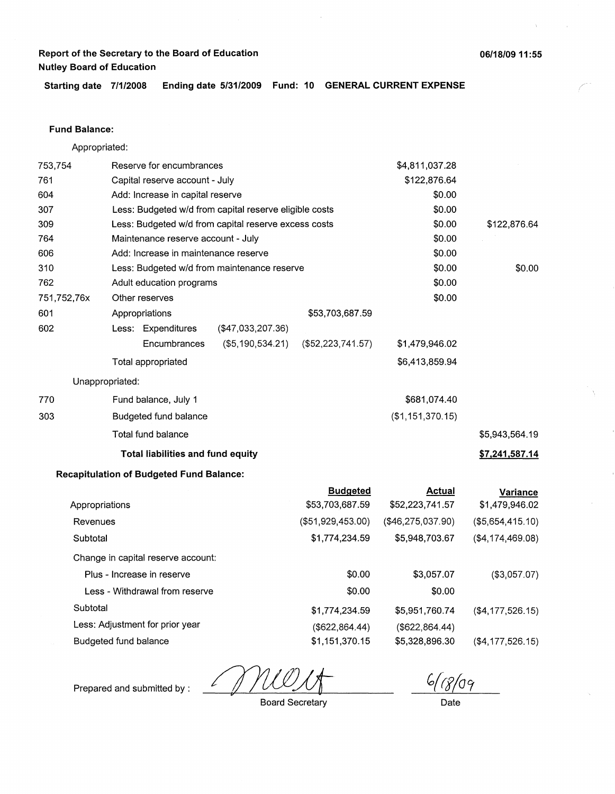**Starting date 7/1/2008 Ending date 5/31/2009 Fund: 10 GENERAL CURRENT EXPENSE** 

#### **Fund Balance:**

Appropriated:

| 753,754        |                 | Reserve for encumbrances                               |                                             |                   | \$4,811,037.28    |                  |
|----------------|-----------------|--------------------------------------------------------|---------------------------------------------|-------------------|-------------------|------------------|
| 761            |                 | Capital reserve account - July                         |                                             | \$122,876.64      |                   |                  |
| 604            |                 | Add: Increase in capital reserve                       |                                             |                   | \$0.00            |                  |
| 307            |                 | Less: Budgeted w/d from capital reserve eligible costs |                                             | \$0.00            |                   |                  |
| 309            |                 | Less: Budgeted w/d from capital reserve excess costs   |                                             | \$0.00            | \$122,876.64      |                  |
| 764            |                 | Maintenance reserve account - July                     |                                             |                   | \$0.00            |                  |
| 606            |                 | Add: Increase in maintenance reserve                   |                                             |                   | \$0.00            |                  |
| 310            |                 |                                                        | Less: Budgeted w/d from maintenance reserve |                   | \$0.00            | \$0.00           |
| 762            |                 | Adult education programs                               |                                             |                   | \$0.00            |                  |
| 751,752,76x    |                 | Other reserves                                         |                                             |                   | \$0.00            |                  |
| 601            |                 | Appropriations                                         |                                             | \$53,703,687.59   |                   |                  |
| 602            |                 | Less: Expenditures                                     | (\$47,033,207.36)                           |                   |                   |                  |
|                |                 | Encumbrances                                           | (\$5,190,534.21)                            | (\$52,223,741.57) | \$1,479,946.02    |                  |
|                |                 | Total appropriated                                     |                                             |                   | \$6,413,859.94    |                  |
|                | Unappropriated: |                                                        |                                             |                   |                   |                  |
| 770            |                 | Fund balance, July 1                                   |                                             |                   | \$681,074.40      |                  |
| 303            |                 | Budgeted fund balance                                  |                                             |                   | (\$1,151,370.15)  |                  |
|                |                 | Total fund balance                                     |                                             |                   |                   | \$5,943,564.19   |
|                |                 | <b>Total liabilities and fund equity</b>               |                                             |                   |                   | \$7,241,587.14   |
|                |                 | <b>Recapitulation of Budgeted Fund Balance:</b>        |                                             |                   |                   |                  |
|                |                 |                                                        |                                             | <b>Budgeted</b>   | <b>Actual</b>     | <b>Variance</b>  |
| Appropriations |                 |                                                        |                                             | \$53,703,687.59   | \$52,223,741.57   | \$1,479,946.02   |
| Revenues       |                 |                                                        |                                             | (\$51,929,453.00) | (\$46,275,037.90) | (\$5,654,415.10) |
| Subtotal       |                 |                                                        |                                             | \$1,774,234.59    | \$5,948,703.67    | (\$4,174,469.08) |
|                |                 | Change in capital reserve account:                     |                                             |                   |                   |                  |
|                |                 | Plus - Increase in reserve                             |                                             | \$0.00            | \$3,057.07        | (\$3,057.07)     |

Plus - Increase in reserve Less - Withdrawal from reserve **Subtotal** Less: Adjustment for prior year Budgeted fund balance \$0.00 \$0.00 \$1,774,234.59 (\$622,864.44) \$1,151,370.15 \$3,057.07 \$0.00 \$5,951,760.74 (\$622,864.44) \$5,328,896.30 (\$4,177,526.15) (\$4,177,526.15)

6/08/09

Prepared and submitted by :

Board Secretary

Date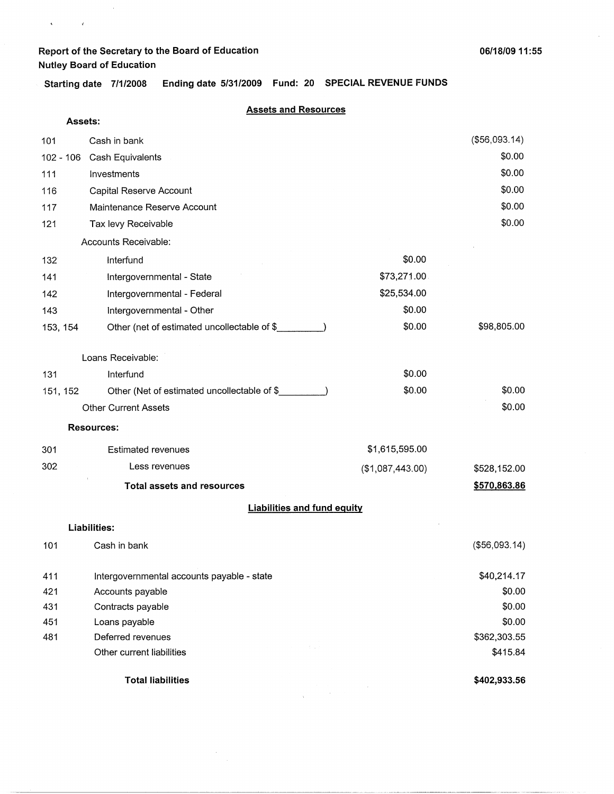$\sim$   $\alpha$ 

 $\mathbf{S}^{(n)}$  and  $\mathbf{S}^{(n)}$  and  $\mathbf{S}^{(n)}$ 

**Starting date 7/1/2008 Ending date 5/31/2009 Fund: 20 SPECIAL REVENUE FUNDS** 

#### **Assets and Resources**

|          | Assets: |                                             |                  |               |
|----------|---------|---------------------------------------------|------------------|---------------|
| 101      |         | Cash in bank                                |                  | (\$56,093.14) |
|          |         | 102 - 106 Cash Equivalents                  |                  | \$0.00        |
| 111      |         | Investments                                 |                  | \$0.00        |
| 116      |         | Capital Reserve Account                     |                  | \$0.00        |
| 117      |         | Maintenance Reserve Account                 |                  | \$0.00        |
| 121      |         | Tax levy Receivable                         |                  | \$0.00        |
|          |         | Accounts Receivable:                        |                  |               |
| 132      |         | Interfund                                   | \$0.00           |               |
| 141      |         | Intergovernmental - State                   | \$73,271.00      |               |
| 142      |         | Intergovernmental - Federal                 | \$25,534.00      |               |
| 143      |         | Intergovernmental - Other                   | \$0.00           |               |
| 153, 154 |         | Other (net of estimated uncollectable of \$ | \$0.00           | \$98,805.00   |
|          |         | Loans Receivable:                           |                  |               |
| 131      |         | Interfund                                   | \$0.00           |               |
| 151, 152 |         | Other (Net of estimated uncollectable of \$ | \$0.00           | \$0.00        |
|          |         | <b>Other Current Assets</b>                 |                  | \$0.00        |
|          |         | <b>Resources:</b>                           |                  |               |
| 301      |         | <b>Estimated revenues</b>                   | \$1,615,595.00   |               |
| 302      |         | Less revenues                               | (\$1,087,443.00) | \$528,152.00  |
|          |         | <b>Total assets and resources</b>           |                  | \$570,863.86  |
|          |         | <b>Liabilities and fund equity</b>          |                  |               |
|          |         | <b>Liabilities:</b>                         |                  |               |
| 101      |         | Cash in bank                                |                  | (\$56,093.14) |
| 411      |         | Intergovernmental accounts payable - state  |                  | \$40,214.17   |
| 421      |         | Accounts payable                            |                  | \$0.00        |
| 431      |         | Contracts payable                           |                  | \$0.00        |
| 451      |         | Loans payable                               |                  | \$0.00        |
| 481      |         | Deferred revenues                           |                  | \$362,303.55  |
|          |         | Other current liabilities                   |                  | \$415.84      |
|          |         | <b>Total liabilities</b>                    |                  | \$402,933.56  |

 $\alpha$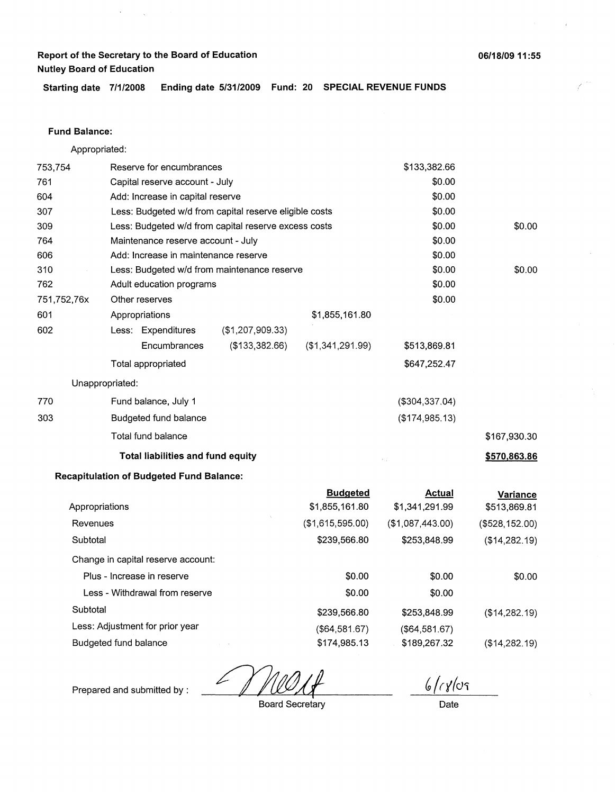$\bar{\gamma}$ 

**Starting date 7/1/2008 Ending date 5/31/2009 Fund: 20 SPECIAL REVENUE FUNDS** 

#### **Fund Balance:**

| Appropriated:   |                                                        |                                |                  |                   |              |
|-----------------|--------------------------------------------------------|--------------------------------|------------------|-------------------|--------------|
| 753,754         | Reserve for encumbrances                               |                                | \$133,382.66     |                   |              |
| 761             |                                                        | Capital reserve account - July |                  |                   |              |
| 604             | Add: Increase in capital reserve                       |                                |                  | \$0.00            |              |
| 307             | Less: Budgeted w/d from capital reserve eligible costs |                                |                  | \$0.00            |              |
| 309             | Less: Budgeted w/d from capital reserve excess costs   |                                |                  | \$0.00            | \$0.00       |
| 764             | Maintenance reserve account - July                     |                                |                  | \$0.00            |              |
| 606             | Add: Increase in maintenance reserve                   |                                |                  | \$0.00            |              |
| 310             | Less: Budgeted w/d from maintenance reserve            |                                |                  | \$0.00            | \$0.00       |
| 762             | Adult education programs                               |                                |                  | \$0.00            |              |
| 751,752,76x     | Other reserves                                         |                                |                  | \$0.00            |              |
| 601             | Appropriations                                         |                                | \$1,855,161.80   |                   |              |
| 602             | Less: Expenditures                                     | (\$1,207,909.33)               |                  |                   |              |
|                 | Encumbrances                                           | (\$133,382.66)                 | (\$1,341,291.99) | \$513,869.81      |              |
|                 | Total appropriated                                     |                                |                  | \$647,252.47      |              |
| Unappropriated: |                                                        |                                |                  |                   |              |
| 770             | Fund balance, July 1                                   |                                |                  | $($ \$304,337.04) |              |
| 303             | Budgeted fund balance                                  |                                |                  | (\$174,985.13)    |              |
|                 | Total fund balance                                     |                                |                  |                   | \$167,930.30 |
|                 | <b>Total liabilities and fund equity</b>               |                                |                  |                   | \$570,863.86 |

### **Recapitulation of Budgeted Fund Balance:**

|                                    | <b>Budgeted</b>  | Actual           | Variance       |
|------------------------------------|------------------|------------------|----------------|
| Appropriations                     | \$1,855,161.80   | \$1,341,291.99   | \$513,869.81   |
| Revenues                           | (\$1,615,595.00) | (\$1,087,443.00) | (\$528,152.00) |
| Subtotal                           | \$239,566.80     | \$253,848.99     | (\$14,282.19)  |
| Change in capital reserve account: |                  |                  |                |
| Plus - Increase in reserve         | \$0.00           | \$0.00           | \$0.00         |
| Less - Withdrawal from reserve     | \$0.00           | \$0.00           |                |
| Subtotal                           | \$239,566.80     | \$253,848.99     | (\$14,282.19)  |
| Less: Adjustment for prior year    | (\$64,581.67)    | (\$64,581.67)    |                |
| Budgeted fund balance              | \$174,985.13     | \$189,267.32     | (\$14,282.19)  |
|                                    |                  |                  |                |

& *(ry(d'i* 

Prepared and submitted by :

Board Secretary

Date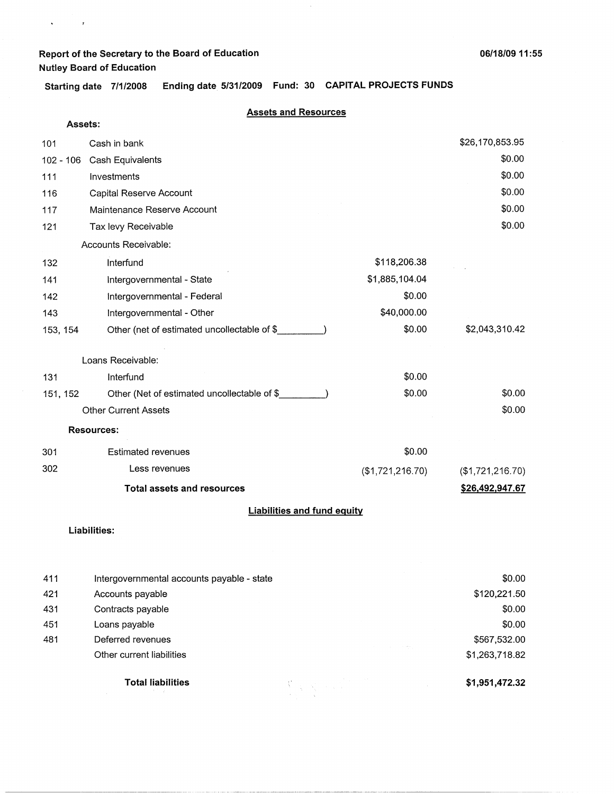$\mathbf{v} = \mathbf{v} \times \mathbf{v}$  .

**Starting date 7/1/2008 Ending date 5/31/2009 Fund: 30 CAPITAL PROJECTS FUNDS** 

### **Assets and Resources**

 $\bar{z}$ 

| Assets:   |                                             |                  |                  |
|-----------|---------------------------------------------|------------------|------------------|
| 101       | Cash in bank                                |                  | \$26,170,853.95  |
| 102 - 106 | Cash Equivalents                            |                  | \$0.00           |
| 111       | Investments                                 |                  | \$0.00           |
| 116       | Capital Reserve Account                     |                  | \$0.00           |
| 117       | Maintenance Reserve Account                 |                  | \$0.00           |
| 121       | Tax levy Receivable                         |                  | \$0.00           |
|           | Accounts Receivable:                        |                  |                  |
| 132       | Interfund                                   | \$118,206.38     |                  |
| 141       | Intergovernmental - State                   | \$1,885,104.04   |                  |
| 142       | Intergovernmental - Federal                 | \$0.00           |                  |
| 143       | Intergovernmental - Other                   | \$40,000.00      |                  |
| 153, 154  | Other (net of estimated uncollectable of \$ | \$0.00           | \$2,043,310.42   |
|           | Loans Receivable:                           |                  |                  |
| 131       | Interfund                                   | \$0.00           |                  |
| 151, 152  | Other (Net of estimated uncollectable of \$ | \$0.00           | \$0.00           |
|           | <b>Other Current Assets</b>                 |                  | \$0.00           |
|           | <b>Resources:</b>                           |                  |                  |
| 301       | <b>Estimated revenues</b>                   | \$0.00           |                  |
| 302       | Less revenues                               | (\$1,721,216.70) | (\$1,721,216.70) |
|           | <b>Total assets and resources</b>           |                  | \$26,492,947.67  |
|           | <b>Liabilities and fund equity</b>          |                  |                  |
|           |                                             |                  |                  |

### **Liabilities:**

| 411 | Intergovernmental accounts payable - state |                 | \$0.00         |
|-----|--------------------------------------------|-----------------|----------------|
| 421 | Accounts payable                           |                 | \$120,221.50   |
| 431 | Contracts payable                          |                 | \$0.00         |
| 451 | Loans payable                              |                 | \$0.00         |
| 481 | Deferred revenues                          |                 | \$567,532.00   |
|     | Other current liabilities                  |                 | \$1,263,718.82 |
|     | <b>Total liabilities</b>                   | Waliofariki (K. | \$1,951,472.32 |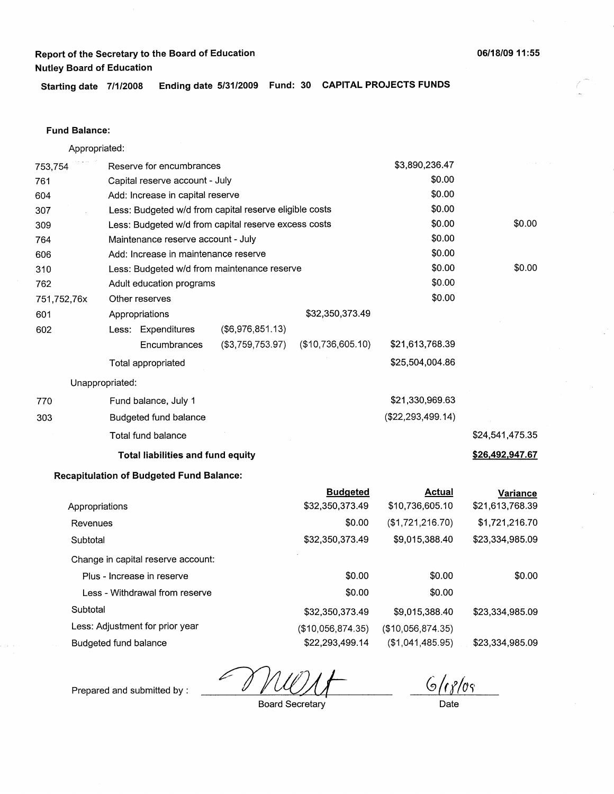**06/18/09 11 : 55** 

**Starting date 7/1/2008 Ending date 5/31/2009 Fund: 30 CAPITAL PROJECTS FUNDS** 

#### **Fund Balance:**

|             | Appropriated:                                        |                                                                  |                   |                     |                 |
|-------------|------------------------------------------------------|------------------------------------------------------------------|-------------------|---------------------|-----------------|
| 753,754     | Reserve for encumbrances                             |                                                                  |                   | \$3,890,236.47      |                 |
| 761         | Capital reserve account - July                       |                                                                  |                   | \$0.00              |                 |
| 604         | Add: Increase in capital reserve                     |                                                                  |                   | \$0.00              |                 |
| 307         |                                                      | \$0.00<br>Less: Budgeted w/d from capital reserve eligible costs |                   |                     |                 |
| 309         | Less: Budgeted w/d from capital reserve excess costs |                                                                  |                   | \$0.00              | \$0.00          |
| 764         |                                                      | \$0.00<br>Maintenance reserve account - July                     |                   |                     |                 |
| 606         |                                                      | \$0.00<br>Add: Increase in maintenance reserve                   |                   |                     |                 |
| 310         |                                                      | \$0.00<br>Less: Budgeted w/d from maintenance reserve            |                   |                     |                 |
| 762         | Adult education programs                             |                                                                  |                   | \$0.00              |                 |
| 751,752,76x | Other reserves                                       |                                                                  |                   | \$0.00              |                 |
| 601         | Appropriations                                       |                                                                  | \$32,350,373.49   |                     |                 |
| 602         | Less: Expenditures                                   | $($ \$6,976,851.13 $)$                                           |                   |                     |                 |
|             | Encumbrances                                         | (\$3,759,753.97)                                                 | (\$10,736,605.10) | \$21,613,768.39     |                 |
|             | Total appropriated                                   |                                                                  |                   | \$25,504,004.86     |                 |
|             | Unappropriated:                                      |                                                                  |                   |                     |                 |
| 770         | Fund balance, July 1                                 |                                                                  |                   | \$21,330,969.63     |                 |
| 303         | <b>Budgeted fund balance</b>                         |                                                                  |                   | (\$22, 293, 499.14) |                 |
|             | Total fund balance                                   |                                                                  |                   |                     | \$24,541,475.35 |
|             | <b>Total liabilities and fund equity</b>             |                                                                  |                   |                     | \$26,492,947.67 |
|             | <b>Recapitulation of Budgeted Fund Balance:</b>      |                                                                  |                   |                     |                 |
|             |                                                      |                                                                  | <b>Budgeted</b>   | <b>Actual</b>       | Variance        |
|             |                                                      |                                                                  |                   | 0.10 700 00F 10     |                 |

|                                    | ______            |                   |                 |
|------------------------------------|-------------------|-------------------|-----------------|
| Appropriations                     | \$32,350,373.49   | \$10,736,605.10   | \$21,613,768.39 |
| Revenues                           | \$0.00            | (\$1,721,216.70)  | \$1,721,216.70  |
| Subtotal                           | \$32,350,373.49   | \$9,015,388.40    | \$23,334,985.09 |
| Change in capital reserve account: |                   |                   |                 |
| Plus - Increase in reserve         | \$0.00            | \$0.00            | \$0.00          |
| Less - Withdrawal from reserve     | \$0.00            | \$0.00            |                 |
| Subtotal                           | \$32,350,373.49   | \$9,015,388.40    | \$23,334,985.09 |
| Less: Adjustment for prior year    | (\$10,056,874.35) | (\$10,056,874.35) |                 |
| Budgeted fund balance              | \$22,293,499.14   | (\$1,041,485.95)  | \$23,334,985.09 |

L

 $6/18/08$ 

Prepared and submitted by :

Board Secretary

Date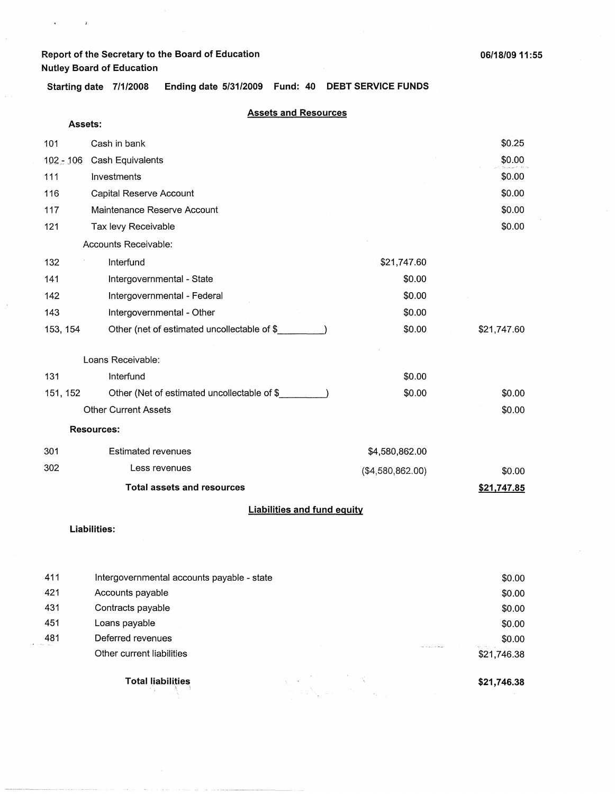$\hat{\mathbf{a}}$ 

 $\rightarrow$ 

**Starting date 7/1/2008 Ending date 5/31/2009 Fund: 40 DEBT SERVICE FUNDS** 

### **Assets and Resources**

| Assets:     |                                             |                  |             |  |  |
|-------------|---------------------------------------------|------------------|-------------|--|--|
| 101         | Cash in bank                                |                  | \$0.25      |  |  |
| $102 - 106$ | Cash Equivalents                            |                  | \$0.00      |  |  |
| 111         | Investments                                 |                  | \$0.00      |  |  |
| 116         | Capital Reserve Account                     |                  | \$0.00      |  |  |
| 117         | Maintenance Reserve Account                 |                  | \$0.00      |  |  |
| 121         | Tax levy Receivable                         |                  | \$0.00      |  |  |
|             | Accounts Receivable:                        |                  |             |  |  |
| 132         | Interfund                                   | \$21,747.60      |             |  |  |
| 141         | Intergovernmental - State                   | \$0.00           |             |  |  |
| 142         | Intergovernmental - Federal                 | \$0.00           |             |  |  |
| 143         | Intergovernmental - Other                   | \$0.00           |             |  |  |
| 153, 154    | Other (net of estimated uncollectable of \$ | \$0.00           | \$21,747.60 |  |  |
|             | Loans Receivable:                           |                  |             |  |  |
| 131         | Interfund                                   | \$0.00           |             |  |  |
| 151, 152    | Other (Net of estimated uncollectable of \$ | \$0.00           | \$0.00      |  |  |
|             | <b>Other Current Assets</b>                 |                  | \$0.00      |  |  |
|             | <b>Resources:</b>                           |                  |             |  |  |
| 301         | <b>Estimated revenues</b>                   | \$4,580,862.00   |             |  |  |
| 302         | Less revenues                               | (\$4,580,862.00) | \$0.00      |  |  |
|             | <b>Total assets and resources</b>           |                  | \$21,747.85 |  |  |
|             | <b>Liabilities and fund equity</b>          |                  |             |  |  |
|             | <b>Liabilities:</b>                         |                  |             |  |  |

|                   | <b>Total liabilities</b>                   | \$21,746.38            |
|-------------------|--------------------------------------------|------------------------|
|                   | Other current liabilities                  | \$21,746.38            |
| 481<br>Automakers | Deferred revenues                          | \$0.00<br>Partners and |
| 451               | Loans payable                              | \$0.00                 |
| 431               | Contracts payable                          | \$0.00                 |
| 421               | Accounts payable                           | \$0.00                 |
| 411               | Intergovernmental accounts payable - state | \$0.00                 |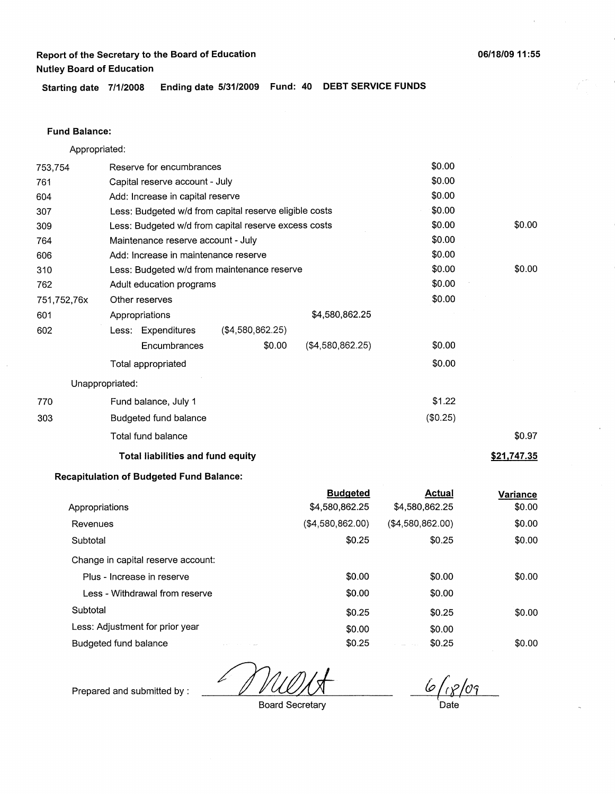**Starting date 7/1/2008 Ending date 5/31/2009 Fund: 40 DEBT SERVICE FUNDS** 

#### **Fund Balance:**

| Appropriated: |                                                      |                                                        |                  |          |             |
|---------------|------------------------------------------------------|--------------------------------------------------------|------------------|----------|-------------|
| 753,754       | Reserve for encumbrances                             |                                                        |                  | \$0.00   |             |
| 761           | Capital reserve account - July                       |                                                        |                  | \$0.00   |             |
| 604           | Add: Increase in capital reserve                     |                                                        |                  | \$0.00   |             |
| 307           |                                                      | Less: Budgeted w/d from capital reserve eligible costs |                  |          |             |
| 309           | Less: Budgeted w/d from capital reserve excess costs |                                                        |                  | \$0.00   | \$0.00      |
| 764           |                                                      | \$0.00<br>Maintenance reserve account - July           |                  |          |             |
| 606           | Add: Increase in maintenance reserve                 | \$0.00                                                 |                  |          |             |
| 310           | Less: Budgeted w/d from maintenance reserve          |                                                        |                  | \$0.00   | \$0.00      |
| 762           | Adult education programs                             |                                                        |                  | \$0.00   |             |
| 751,752,76x   | Other reserves                                       |                                                        |                  | \$0.00   |             |
| 601           | Appropriations                                       |                                                        | \$4,580,862.25   |          |             |
| 602           | Less: Expenditures                                   | ( \$4,580,862.25)                                      |                  |          |             |
|               | Encumbrances                                         | \$0.00                                                 | (\$4,580,862.25) | \$0.00   |             |
|               | Total appropriated                                   |                                                        |                  | \$0.00   |             |
|               | Unappropriated:                                      |                                                        |                  |          |             |
| 770           | Fund balance, July 1                                 |                                                        |                  | \$1.22   |             |
| 303           | Budgeted fund balance                                |                                                        |                  | (\$0.25) |             |
|               | Total fund balance                                   |                                                        |                  |          | \$0.97      |
|               | <b>Total liabilities and fund equity</b>             |                                                        |                  |          | \$21,747.35 |

### **Recapitulation of Budgeted Fund Balance:**

|                                    | <b>Budgeted</b>  | <b>Actual</b>     | Variance |
|------------------------------------|------------------|-------------------|----------|
| Appropriations                     | \$4,580,862.25   | \$4,580,862.25    | \$0.00   |
| Revenues                           | (\$4,580,862.00) | ( \$4,580,862.00) | \$0.00   |
| Subtotal                           | \$0.25           | \$0.25            | \$0.00   |
| Change in capital reserve account: |                  |                   |          |
| Plus - Increase in reserve         | \$0.00           | \$0.00            | \$0.00   |
| Less - Withdrawal from reserve     | \$0.00           | \$0.00            |          |
| Subtotal                           | \$0.25           | \$0.25            | \$0.00   |
| Less: Adjustment for prior year    | \$0.00           | \$0.00            |          |
| Budgeted fund balance              | \$0.25           | \$0.25            | \$0.00   |

*&{ct/en* 

Prepared and submitted by :

Board Secretary

Date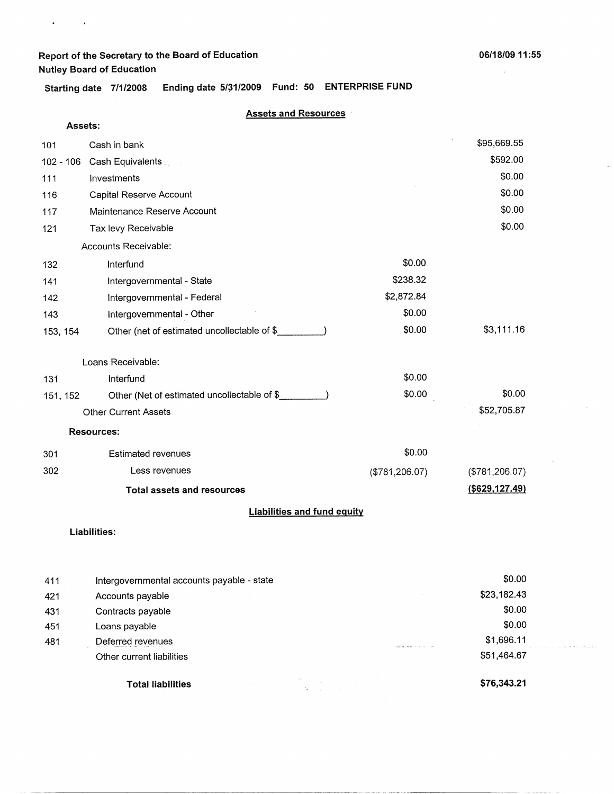$\bullet$  ,  $\bullet$  ,  $\bullet$  ,  $\bullet$ 

j.

 $\varphi$  , i.e. a  $\frac{a}{N}$  it closes will

Starting date 7/1/2008 Ending date 5/31/2009 Fund: 50 ENTERPRISE FUND

### **Assets and Resources** ·

| Assets:  |                                                        |                |                 |  |  |
|----------|--------------------------------------------------------|----------------|-----------------|--|--|
| 101      | Cash in bank                                           |                | \$95,669.55     |  |  |
|          | 102 - 106 Cash Equivalents                             |                | \$592.00        |  |  |
| 111      | Investments                                            |                | \$0.00          |  |  |
| 116      | Capital Reserve Account                                |                | \$0.00          |  |  |
| 117      | Maintenance Reserve Account                            |                | \$0.00          |  |  |
| 121      | Tax levy Receivable                                    |                | \$0.00          |  |  |
|          | Accounts Receivable:                                   |                |                 |  |  |
| 132      | Interfund                                              | \$0.00         |                 |  |  |
| 141      | Intergovernmental - State                              | \$238.32       |                 |  |  |
| 142      | Intergovernmental - Federal                            | \$2,872.84     |                 |  |  |
| 143      | Intergovernmental - Other                              | \$0.00         |                 |  |  |
| 153, 154 | Other (net of estimated uncollectable of \$_           | \$0.00         | \$3,111.16      |  |  |
|          |                                                        |                |                 |  |  |
|          | Loans Receivable:                                      |                |                 |  |  |
| 131      | Interfund                                              | \$0.00         |                 |  |  |
| 151, 152 | Other (Net of estimated uncollectable of \$__________) | \$0.00         | \$0.00          |  |  |
|          | <b>Other Current Assets</b>                            |                | \$52,705.87     |  |  |
|          | <b>Resources:</b>                                      |                |                 |  |  |
| 301      | <b>Estimated revenues</b>                              | \$0.00         |                 |  |  |
| 302      | Less revenues                                          | (\$781,206.07) | (\$781, 206.07) |  |  |
|          | <b>Total assets and resources</b>                      |                | (\$629, 127.49) |  |  |
|          | <b>Liabilities and fund equity</b>                     |                |                 |  |  |
|          | <b>Liabilities:</b>                                    |                |                 |  |  |
|          |                                                        |                |                 |  |  |
|          |                                                        |                |                 |  |  |

| 411 | Intergovernmental accounts payable - state | \$0.00      |
|-----|--------------------------------------------|-------------|
| 421 | Accounts payable                           | \$23,182.43 |
| 431 | Contracts payable                          | \$0.00      |
| 451 | Loans payable                              | \$0.00      |
| 481 | Deferred revenues                          | \$1,696.11  |
|     | Other current liabilities                  | \$51,464.67 |
|     | <b>Total liabilities</b>                   | \$76,343.21 |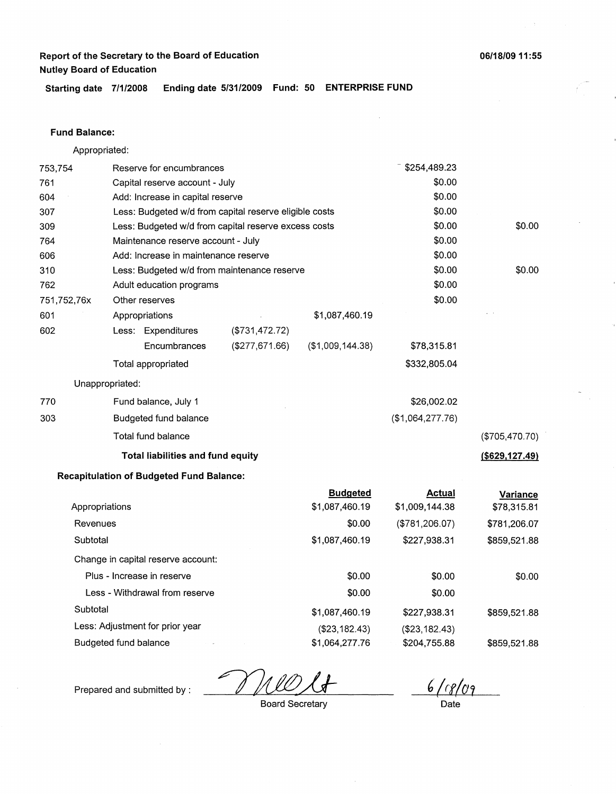**Starting date 7/1/2008 Ending date 5/31/2009 Fund: 50 ENTERPRISE FUND** 

#### **Fund Balance:**

| Appropriated:   |                                                        |                   |                   |                  |                   |
|-----------------|--------------------------------------------------------|-------------------|-------------------|------------------|-------------------|
| 753,754         | Reserve for encumbrances                               |                   |                   | \$254,489.23     |                   |
| 761             | Capital reserve account - July                         |                   |                   | \$0.00           |                   |
| 604             | Add: Increase in capital reserve                       |                   |                   | \$0.00           |                   |
| 307             | Less: Budgeted w/d from capital reserve eligible costs |                   |                   | \$0.00           |                   |
| 309             | Less: Budgeted w/d from capital reserve excess costs   |                   |                   | \$0.00           | \$0.00            |
| 764             | Maintenance reserve account - July                     |                   |                   | \$0.00           |                   |
| 606             | Add: Increase in maintenance reserve                   |                   |                   | \$0.00           |                   |
| 310             | Less: Budgeted w/d from maintenance reserve            |                   |                   | \$0.00           | \$0.00            |
| 762             | Adult education programs                               |                   |                   | \$0.00           |                   |
| 751,752,76x     | Other reserves                                         |                   |                   | \$0.00           |                   |
| 601             | Appropriations                                         |                   | \$1,087,460.19    |                  |                   |
| 602             | Less: Expenditures                                     | (\$731,472.72)    |                   |                  |                   |
|                 | Encumbrances                                           | $($ \$277,671.66) | ( \$1,009,144.38) | \$78,315.81      |                   |
|                 | Total appropriated                                     |                   |                   | \$332,805.04     |                   |
| Unappropriated: |                                                        |                   |                   |                  |                   |
| 770             | Fund balance, July 1                                   |                   |                   | \$26,002.02      |                   |
| 303             | Budgeted fund balance                                  |                   |                   | (\$1,064,277.76) |                   |
|                 | Total fund balance                                     |                   |                   |                  | (\$705,470.70)    |
|                 | Total liabilities and fund equity                      |                   |                   |                  | $($ \$629,127.49) |
|                 | <b>Recapitulation of Budgeted Fund Balance:</b>        |                   |                   |                  |                   |

 $\mathbb{R}^2$ 

|                                    | <b>Budgeted</b> | <b>Actual</b>  | Variance     |
|------------------------------------|-----------------|----------------|--------------|
| Appropriations                     | \$1,087,460.19  | \$1,009,144.38 | \$78,315.81  |
| Revenues                           | \$0.00          | (\$781,206.07) | \$781,206.07 |
| Subtotal                           | \$1,087,460.19  | \$227,938.31   | \$859,521.88 |
| Change in capital reserve account: |                 |                |              |
| Plus - Increase in reserve         | \$0.00          | \$0.00         | \$0.00       |
| Less - Withdrawal from reserve     | \$0.00          | \$0.00         |              |
| Subtotal                           | \$1,087,460.19  | \$227,938.31   | \$859,521.88 |
| Less: Adjustment for prior year    | (\$23,182.43)   | (\$23,182.43)  |              |
| Budgeted fund balance              | \$1.064.277.76  | \$204,755.88   | \$859.521.88 |

 $\mathcal{L}$ V

 $6/(8/09)$ 

Prepared and submitted by :

 $\bar{\gamma}$ 

Board Secretary

 $\bar{z}$ 

Date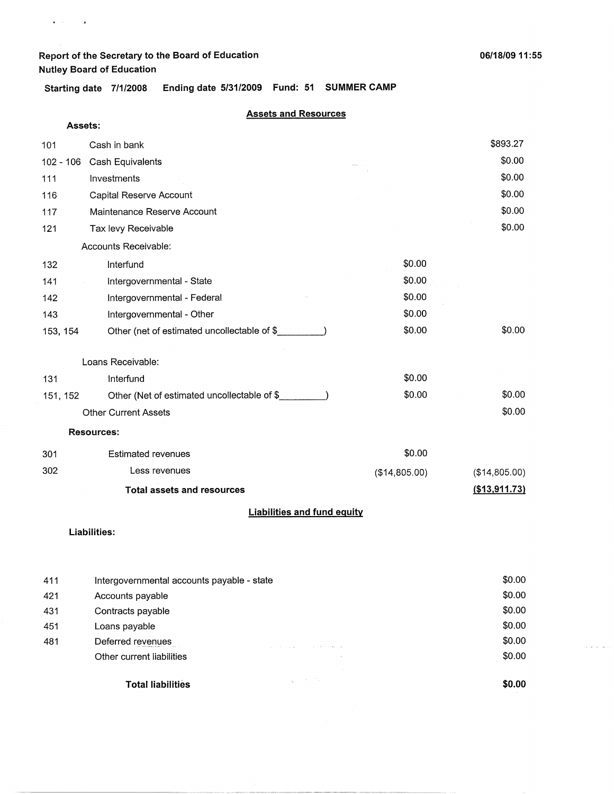**Assets:** 

 $\bullet$  ,  $\bullet$  ,  $\bullet$  ,  $\bullet$ 

 $\label{eq:1} \hat{\mathcal{L}}_{\mathcal{R}}(\hat{\mathcal{A}}^{\mathcal{L}}_{\mathcal{R}}(\hat{\mathcal{A}}^{\mathcal{L}}_{\mathcal{R}}(\hat{\mathcal{A}}^{\mathcal{L}}_{\mathcal{R}}(\hat{\mathcal{A}}^{\mathcal{L}}_{\mathcal{R}})))$ 

**Starting date 7/1/2008 Ending date 5/31/2009 Fund: 51 SUMMER CAMP** 

### **Assets and Resources**

| 101       | Cash in bank                                |               | \$893.27      |
|-----------|---------------------------------------------|---------------|---------------|
| 102 - 106 | Cash Equivalents                            |               | \$0.00        |
| 111       | Investments                                 |               | \$0.00        |
| 116       | Capital Reserve Account                     |               | \$0.00        |
| 117       | Maintenance Reserve Account                 |               | \$0.00        |
| 121       | Tax levy Receivable                         |               | \$0.00        |
|           | Accounts Receivable:                        |               |               |
| 132       | Interfund                                   | \$0.00        |               |
| 141       | Intergovernmental - State                   | \$0.00        |               |
| 142       | Intergovernmental - Federal                 | \$0.00        |               |
| 143       | Intergovernmental - Other                   | \$0.00        |               |
| 153, 154  | Other (net of estimated uncollectable of \$ | \$0.00        | \$0.00        |
|           |                                             |               |               |
|           | Loans Receivable:                           |               |               |
| 131       | Interfund                                   | \$0.00        |               |
| 151, 152  | Other (Net of estimated uncollectable of \$ | \$0.00        | \$0.00        |
|           | <b>Other Current Assets</b>                 |               | \$0.00        |
|           | <b>Resources:</b>                           |               |               |
| 301       | <b>Estimated revenues</b>                   | \$0.00        |               |
| 302       | Less revenues                               | (\$14,805.00) | (\$14,805.00) |
|           | <b>Total assets and resources</b>           |               | (\$13,911.73) |
|           | <b>Liabilities and fund equity</b>          |               |               |

#### **Liabilities:**

| 411 | Intergovernmental accounts payable - state |                                                                                                                     | \$0.00 |
|-----|--------------------------------------------|---------------------------------------------------------------------------------------------------------------------|--------|
| 421 | Accounts payable                           |                                                                                                                     | \$0.00 |
| 431 | Contracts payable                          |                                                                                                                     | \$0.00 |
| 451 | Loans payable                              |                                                                                                                     | \$0.00 |
| 481 | Deferred revenues                          | the construction of the construction of the form of the construction                                                | \$0.00 |
|     | Other current liabilities                  |                                                                                                                     | \$0.00 |
|     | <b>Total liabilities</b>                   | <b>Contract</b><br>$\mathcal{L}_{\mathbf{X}}$ , where $\mathcal{L}_{\mathbf{X}}$ , where $\mathcal{L}_{\mathbf{X}}$ | \$0.00 |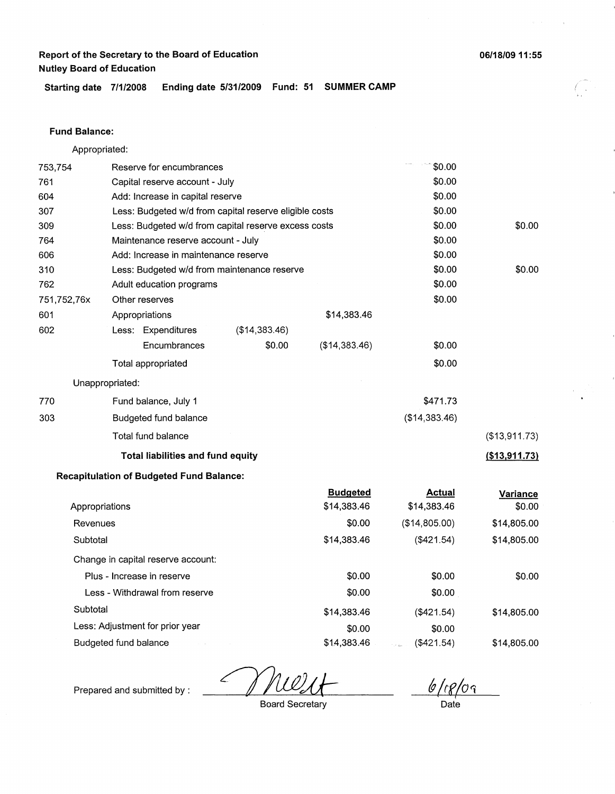**06/18/09 11 :55** 

**Starting date 7/1/2008 Ending date 5/31/2009 Fund: 51 SUMMER CAMP** 

#### **Fund Balance:**

| Appropriated:   |                                                        |               |                 |               |               |
|-----------------|--------------------------------------------------------|---------------|-----------------|---------------|---------------|
| 753,754         | Reserve for encumbrances                               |               |                 | \$0.00        |               |
| 761             | Capital reserve account - July                         |               |                 | \$0.00        |               |
| 604             | Add: Increase in capital reserve                       |               |                 | \$0.00        |               |
| 307             | Less: Budgeted w/d from capital reserve eligible costs |               |                 | \$0.00        |               |
| 309             | Less: Budgeted w/d from capital reserve excess costs   |               |                 | \$0.00        | \$0.00        |
| 764             | Maintenance reserve account - July                     |               |                 | \$0.00        |               |
| 606             | Add: Increase in maintenance reserve                   |               |                 | \$0.00        |               |
| 310             | Less: Budgeted w/d from maintenance reserve            |               |                 | \$0.00        | \$0.00        |
| 762             | Adult education programs                               |               |                 | \$0.00        |               |
| 751,752,76x     | Other reserves                                         |               |                 | \$0.00        |               |
| 601             | Appropriations                                         |               | \$14,383.46     |               |               |
| 602             | Less: Expenditures                                     | (\$14,383.46) |                 |               |               |
|                 | Encumbrances                                           | \$0.00        | (\$14,383.46)   | \$0.00        |               |
|                 | Total appropriated                                     |               |                 | \$0.00        |               |
| Unappropriated: |                                                        |               |                 |               |               |
| 770             | Fund balance, July 1                                   |               |                 | \$471.73      |               |
| 303             | Budgeted fund balance                                  |               |                 | (\$14,383.46) |               |
|                 | Total fund balance                                     |               |                 |               | (\$13,911.73) |
|                 | <b>Total liabilities and fund equity</b>               |               |                 |               | (\$13,911.73) |
|                 | <b>Recapitulation of Budgeted Fund Balance:</b>        |               |                 |               |               |
|                 |                                                        |               | <b>Budgeted</b> | <b>Actual</b> | Variance      |
| Appropriations  |                                                        |               | \$14,383.46     | \$14,383.46   | \$0.00        |
| Revenues        |                                                        |               | \$0.00          | (\$14,805.00) | \$14,805.00   |
| Subtotal        |                                                        |               | \$14,383.46     | (\$421.54)    | \$14,805.00   |

Less: Adjustment for prior year Budgeted fund balance \$14,383.46 \$0.00 \$14,383.46 (\$421.54) \$0.00 (\$421.54)

\$0.00 \$0.00

Prepared and submitted by :

Subtotal

Change in capital reserve account: Plus - Increase in reserve Less - Withdrawal from reserve

Board Secretary

*(g {!f/\_pq* 

\$0.00 \$0.00 \$0.00

\$14,805.00

\$14,805.00

Date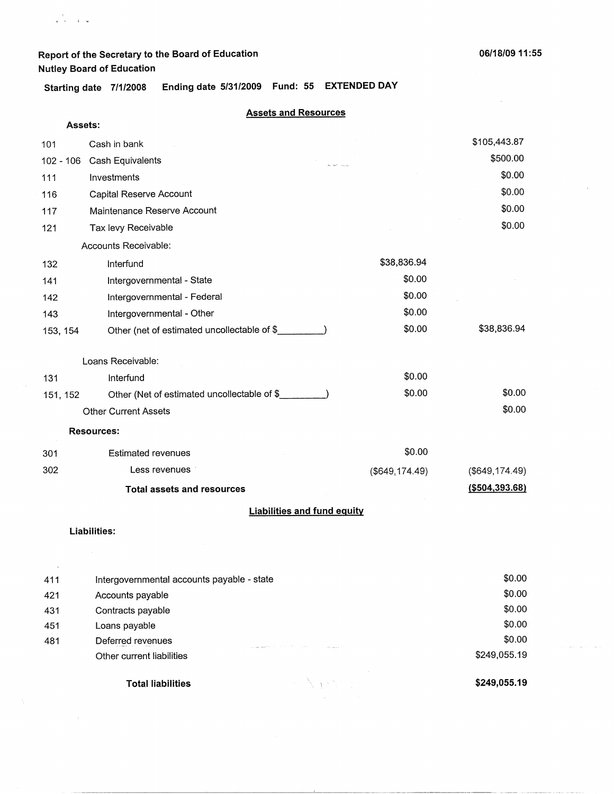**Starting date 7/1/2008 Ending date 5/31/2009 Fund: 55 EXTENDED DAY** 

### **Assets and Resources**

| Assets:   |                                                        |                                    |                  |
|-----------|--------------------------------------------------------|------------------------------------|------------------|
| 101       | Cash in bank                                           |                                    | \$105,443.87     |
| 102 - 106 | Cash Equivalents                                       |                                    | \$500.00         |
| 111       | Investments                                            |                                    | \$0.00           |
| 116       | Capital Reserve Account                                |                                    | \$0.00           |
| 117       | Maintenance Reserve Account                            |                                    | \$0.00           |
| 121       | Tax levy Receivable                                    |                                    | \$0.00           |
|           | Accounts Receivable:                                   |                                    |                  |
| 132       | Interfund                                              | \$38,836.94                        |                  |
| 141       | Intergovernmental - State                              | \$0.00                             |                  |
| 142       | Intergovernmental - Federal                            | \$0.00                             |                  |
| 143       | Intergovernmental - Other                              | \$0.00                             |                  |
| 153, 154  | Other (net of estimated uncollectable of \$__________) | \$0.00                             | \$38,836.94      |
|           | Loans Receivable:                                      |                                    |                  |
| 131       | Interfund                                              | \$0.00                             |                  |
| 151, 152  | Other (Net of estimated uncollectable of \$            | \$0.00                             | \$0.00           |
|           | <b>Other Current Assets</b>                            |                                    | \$0.00           |
|           | <b>Resources:</b>                                      |                                    |                  |
| 301       | <b>Estimated revenues</b>                              | \$0.00                             |                  |
| 302       | Less revenues                                          | $($ \$649,174.49 $)$               | (\$649, 174.49)  |
|           | <b>Total assets and resources</b>                      |                                    | ( \$504, 393.68) |
|           |                                                        | <b>Liabilities and fund equity</b> |                  |
|           | Liabilities:                                           |                                    |                  |
|           |                                                        |                                    |                  |
| 411       | Intergovernmental accounts payable - state             |                                    | \$0.00           |
| 421       | Accounts payable                                       |                                    | \$0.00           |
| 431       | Contracts payable                                      |                                    | \$0.00           |
| 451       | Loans payable                                          |                                    | \$0.00           |
| 481       | Deferred revenues<br>a base assembly the control three | <b>Color</b>                       | \$0.00           |

 $A \times \mathbb{Z}^2$ 

**Total liabilities** 

other current liabilities

**\$249,055.19** 

\$249,055.19